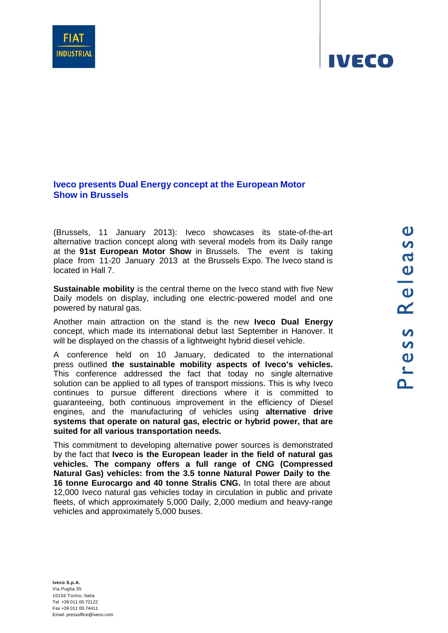## **Iveco presents Dual Energy concept at the European Motor Show in Brussels**

(Brussels, 11 January 2013): Iveco showcases its state-of-the-art alternative traction concept along with several models from its Daily range at the **91st European Motor Show** in Brussels. The event is taking place from 11-20 January 2013 at the Brussels Expo. The Iveco stand is located in Hall 7.

**Sustainable mobility** is the central theme on the Iveco stand with five New Daily models on display, including one electric-powered model and one powered by natural gas.

Another main attraction on the stand is the new **Iveco Dual Energy**  concept, which made its international debut last September in Hanover. It will be displayed on the chassis of a lightweight hybrid diesel vehicle.

A conference held on 10 January, dedicated to the international press outlined **the sustainable mobility aspects of Iveco's vehicles.**  This conference addressed the fact that today no single alternative solution can be applied to all types of transport missions. This is why Iveco continues to pursue different directions where it is committed to guaranteeing, both continuous improvement in the efficiency of Diesel engines, and the manufacturing of vehicles using **alternative drive systems that operate on natural gas, electric or hybrid power, that are suited for all various transportation needs.**

This commitment to developing alternative power sources is demonstrated by the fact that **Iveco is the European leader in the field of natural gas vehicles. The company offers a full range of CNG (Compressed Natural Gas) vehicles: from the 3.5 tonne Natural Power Daily to the 16 tonne Eurocargo and 40 tonne Stralis CNG.** In total there are about 12,000 Iveco natural gas vehicles today in circulation in public and private fleets, of which approximately 5,000 Daily, 2,000 medium and heavy-range vehicles and approximately 5,000 buses.



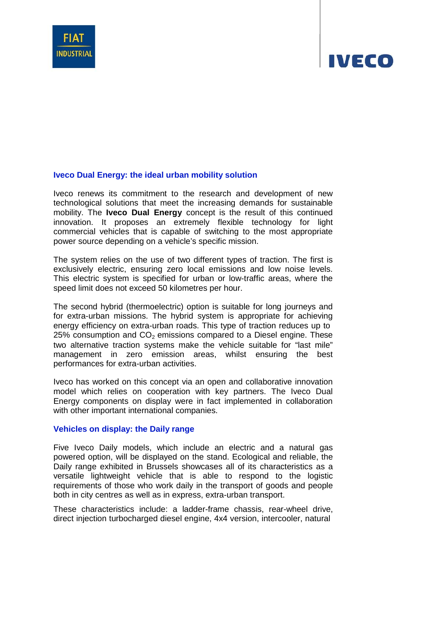

# IVECO

#### **Iveco Dual Energy: the ideal urban mobility solution**

Iveco renews its commitment to the research and development of new technological solutions that meet the increasing demands for sustainable mobility. The **Iveco Dual Energy** concept is the result of this continued innovation. It proposes an extremely flexible technology for light commercial vehicles that is capable of switching to the most appropriate power source depending on a vehicle's specific mission.

The system relies on the use of two different types of traction. The first is exclusively electric, ensuring zero local emissions and low noise levels. This electric system is specified for urban or low-traffic areas, where the speed limit does not exceed 50 kilometres per hour.

The second hybrid (thermoelectric) option is suitable for long journeys and for extra-urban missions. The hybrid system is appropriate for achieving energy efficiency on extra-urban roads. This type of traction reduces up to 25% consumption and  $CO<sub>2</sub>$  emissions compared to a Diesel engine. These two alternative traction systems make the vehicle suitable for "last mile" management in zero emission areas, whilst ensuring the best performances for extra-urban activities.

Iveco has worked on this concept via an open and collaborative innovation model which relies on cooperation with key partners. The Iveco Dual Energy components on display were in fact implemented in collaboration with other important international companies.

#### **Vehicles on display: the Daily range**

Five Iveco Daily models, which include an electric and a natural gas powered option, will be displayed on the stand. Ecological and reliable, the Daily range exhibited in Brussels showcases all of its characteristics as a versatile lightweight vehicle that is able to respond to the logistic requirements of those who work daily in the transport of goods and people both in city centres as well as in express, extra-urban transport.

These characteristics include: a ladder-frame chassis, rear-wheel drive, direct injection turbocharged diesel engine, 4x4 version, intercooler, natural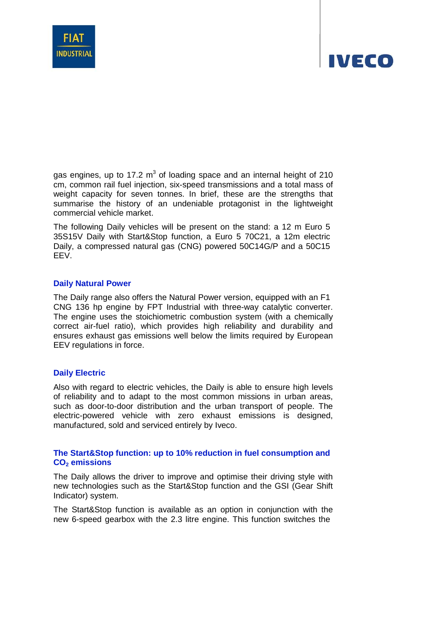

# IVECO

gas engines, up to 17.2  $m<sup>3</sup>$  of loading space and an internal height of 210 cm, common rail fuel injection, six-speed transmissions and a total mass of weight capacity for seven tonnes. In brief, these are the strengths that summarise the history of an undeniable protagonist in the lightweight commercial vehicle market.

The following Daily vehicles will be present on the stand: a 12 m Euro 5 35S15V Daily with Start&Stop function, a Euro 5 70C21, a 12m electric Daily, a compressed natural gas (CNG) powered 50C14G/P and a 50C15 EEV.

### **Daily Natural Power**

The Daily range also offers the Natural Power version, equipped with an F1 CNG 136 hp engine by FPT Industrial with three-way catalytic converter. The engine uses the stoichiometric combustion system (with a chemically correct air-fuel ratio), which provides high reliability and durability and ensures exhaust gas emissions well below the limits required by European EEV regulations in force.

### **Daily Electric**

Also with regard to electric vehicles, the Daily is able to ensure high levels of reliability and to adapt to the most common missions in urban areas, such as door-to-door distribution and the urban transport of people. The electric-powered vehicle with zero exhaust emissions is designed, manufactured, sold and serviced entirely by Iveco.

### **The Start&Stop function: up to 10% reduction in fuel consumption and** CO<sub>2</sub> emissions

The Daily allows the driver to improve and optimise their driving style with new technologies such as the Start&Stop function and the GSI (Gear Shift Indicator) system.

The Start&Stop function is available as an option in conjunction with the new 6-speed gearbox with the 2.3 litre engine. This function switches the